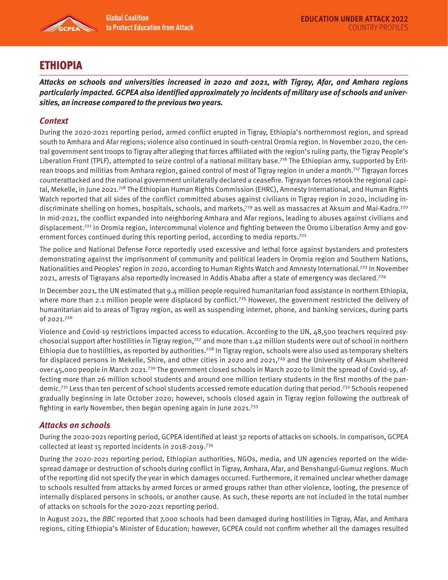

# ETHIOPIA

**Attacks on schools and universities increased in 2020 and 2021, with Tigray, Afar, and Amhara regions particularly impacted. GCPEA also identified approximately 70 incidents of military use of schools and universities, an increase compared to the previous two years.** 

## **Context**

During the 2020-2021 reporting period, armed conflict erupted in Tigray, Ethiopia's northernmost region, and spread south to Amhara and Afar regions; violence also continued in south-central Oromia region. In November 2020, the central government sent troops to Tigray after alleging that forces affiliated with the region's ruling party, the Tigray People's Liberation Front (TPLF), attempted to seize control of a national military base.<sup>716</sup> The Ethiopian army, supported by Eritrean troops and militias from Amhara region, gained control of most of Tigray region in under a month.717 Tigrayan forces counterattacked and the national government unilaterally declared a ceasefire. Tigrayan forces retook the regional capital, Mekelle, in June 2021.<sup>718</sup> The Ethiopian Human Rights Commission (EHRC), Amnesty International, and Human Rights Watch reported that all sides of the conflict committed abuses against civilians in Tigray region in 2020, including indiscriminate shelling on homes, hospitals, schools, and markets,7<sup>19</sup> as well as massacres at Aksum and Mai-Kadra.<sup>720</sup> In mid-2021, the conflict expanded into neighboring Amhara and Afar regions, leading to abuses against civilians and displacement.<sup>721</sup> In Oromia region, intercommunal violence and fighting between the Oromo Liberation Army and government forces continued during this reporting period, according to media reports.<sup>722</sup>

The police and National Defense Force reportedly used excessive and lethal force against bystanders and protesters demonstrating against the imprisonment of community and political leaders in Oromia region and Southern Nations, Nationalities and Peoples' region in 2020, according to Human Rights Watch and Amnesty International.723 In November 2021, arrests of Tigrayans also reportedly increased in Addis Ababa after a state of emergency was declared.724

In December 2021, the UN estimated that 9.4 million people required humanitarian food assistance in northern Ethiopia, where more than 2.1 million people were displaced by conflict.<sup>725</sup> However, the government restricted the delivery of humanitarian aid to areas of Tigray region, as well as suspending internet, phone, and banking services, during parts of 2021.726

Violence and Covid-19 restrictions impacted access to education. According to the UN, 48,500 teachers required psychosocial support after hostilities in Tigray region,727 and more than 1.42 million students were out of school in northern Ethiopia due to hostilities, as reported by authorities.<sup>728</sup> In Tigray region, schools were also used as temporary shelters for displaced persons in Mekelle, Shire, and other cities in 2020 and 2021,729 and the University of Aksum sheltered over 45,000 people in March 2021.730 The government closed schools in March 2020 to limit the spread of Covid-19, affecting more than 26 million school students and around one million tertiary students in the first months of the pandemic.731 Less than ten percent of school students accessed remote education during that period.732 Schools reopened gradually beginning in late October 2020; however, schools closed again in Tigray region following the outbreak of fighting in early November, then began opening again in June 2021.733

## **Attacks on schools**

During the 2020-2021 reporting period, GCPEA identified at least 32 reports of attacks on schools. In comparison, GCPEA collected at least 15 reported incidents in 2018-2019.734

During the 2020-2021 reporting period, Ethiopian authorities, NGOs, media, and UN agencies reported on the widespread damage or destruction of schools during conflict in Tigray, Amhara, Afar, and Benshangul-Gumuz regions. Much of the reporting did not specify the year in which damages occurred. Furthermore, it remained unclear whether damage to schools resulted from attacks by armed forces or armed groups rather than other violence, looting, the presence of internally displaced persons in schools, or another cause. As such, these reports are not included in the total number of attacks on schools for the 2020-2021 reporting period.

In August 2021, the BBC reported that 7,000 schools had been damaged during hostilities in Tigray, Afar, and Amhara regions, citing Ethiopia's Minister of Education; however, GCPEA could not confirm whether all the damages resulted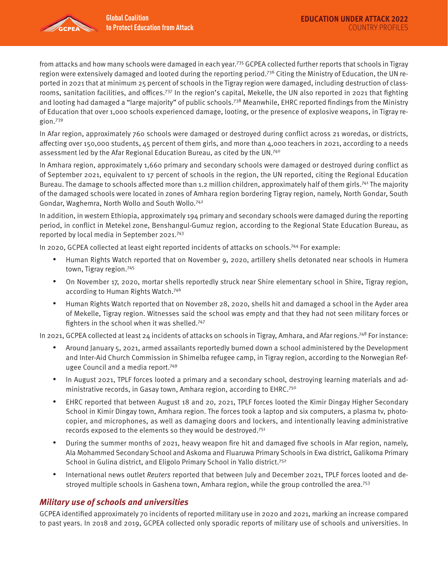

from attacks and how many schools were damaged in each year.<sup>735</sup> GCPEA collected further reports that schools in Tigray region were extensively damaged and looted during the reporting period.<sup>736</sup> Citing the Ministry of Education, the UN reported in 2021 that at minimum 25 percent of schools in the Tigray region were damaged, including destruction of classrooms, sanitation facilities, and offices.<sup>737</sup> In the region's capital, Mekelle, the UN also reported in 2021 that fighting and looting had damaged a "large majority" of public schools.<sup>738</sup> Meanwhile, EHRC reported findings from the Ministry of Education that over 1,000 schools experienced damage, looting, or the presence of explosive weapons, in Tigray region.739

In Afar region, approximately 760 schools were damaged or destroyed during conflict across 21 woredas, or districts, affecting over 150,000 students, 45 percent of them girls, and more than 4,000 teachers in 2021, according to a needs assessment led by the Afar Regional Education Bureau, as cited by the UN.740

In Amhara region, approximately 1,660 primary and secondary schools were damaged or destroyed during conflict as of September 2021, equivalent to 17 percent of schools in the region, the UN reported, citing the Regional Education Bureau. The damage to schools affected more than 1.2 million children, approximately half of them girls.741 The majority of the damaged schools were located in zones of Amhara region bordering Tigray region, namely, North Gondar, South Gondar, Waghemra, North Wollo and South Wollo.742

In addition, in western Ethiopia, approximately 194 primary and secondary schools were damaged during the reporting period, in conflict in Metekel zone, Benshangul-Gumuz region, according to the Regional State Education Bureau, as reported by local media in September 2021.743

In 2020, GCPEA collected at least eight reported incidents of attacks on schools.<sup>744</sup> For example:

- Human Rights Watch reported that on November 9, 2020, artillery shells detonated near schools in Humera town, Tigray region.745
- On November 17, 2020, mortar shells reportedly struck near Shire elementary school in Shire, Tigray region, according to Human Rights Watch.746
- Human Rights Watch reported that on November 28, 2020, shells hit and damaged a school in the Ayder area of Mekelle, Tigray region. Witnesses said the school was empty and that they had not seen military forces or fighters in the school when it was shelled.747

In 2021, GCPEA collected at least 24 incidents of attacks on schools in Tigray, Amhara, and Afar regions.<sup>748</sup> For instance:

- Around January 5, 2021, armed assailants reportedly burned down a school administered by the Development and Inter-Aid Church Commission in Shimelba refugee camp, in Tigray region, according to the Norwegian Refugee Council and a media report.749
- In August 2021, TPLF forces looted a primary and a secondary school, destroying learning materials and administrative records, in Gasay town, Amhara region, according to EHRC.750
- EHRC reported that between August 18 and 20, 2021, TPLF forces looted the Kimir Dingay Higher Secondary School in Kimir Dingay town, Amhara region. The forces took a laptop and six computers, a plasma tv, photocopier, and microphones, as well as damaging doors and lockers, and intentionally leaving administrative records exposed to the elements so they would be destroyed.<sup>751</sup>
- During the summer months of 2021, heavy weapon fire hit and damaged five schools in Afar region, namely, Ala Mohammed Secondary School and Askoma and Fluaruwa Primary Schools in Ewa district, Galikoma Primary School in Gulina district, and Eligolo Primary School in Yallo district.<sup>752</sup>
- International news outlet Reuters reported that between July and December 2021, TPLF forces looted and destroyed multiple schools in Gashena town, Amhara region, while the group controlled the area.<sup>753</sup>

### **Military use of schools and universities**

GCPEA identified approximately 70 incidents of reported military use in 2020 and 2021, marking an increase compared to past years. In 2018 and 2019, GCPEA collected only sporadic reports of military use of schools and universities. In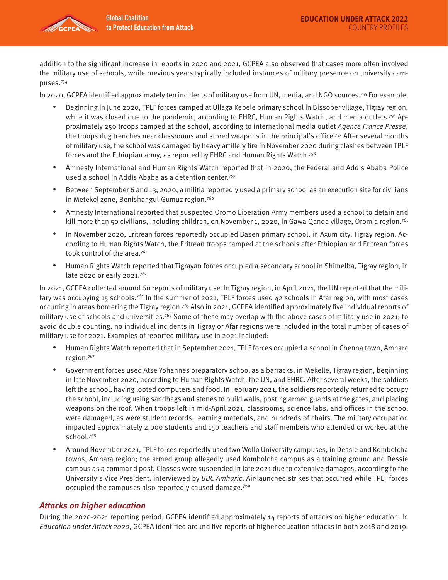

addition to the significant increase in reports in 2020 and 2021, GCPEA also observed that cases more often involved the military use of schools, while previous years typically included instances of military presence on university campuses.754

In 2020, GCPEA identified approximately ten incidents of military use from UN, media, and NGO sources.<sup>755</sup> For example:

- Beginning in June 2020, TPLF forces camped at Ullaga Kebele primary school in Bissober village, Tigray region, while it was closed due to the pandemic, according to EHRC, Human Rights Watch, and media outlets.<sup>756</sup> Approximately 250 troops camped at the school, according to international media outlet Agence France Presse; the troops dug trenches near classrooms and stored weapons in the principal's office.757 After several months of military use, the school was damaged by heavy artillery fire in November 2020 during clashes between TPLF forces and the Ethiopian army, as reported by EHRC and Human Rights Watch.758
- Amnesty International and Human Rights Watch reported that in 2020, the Federal and Addis Ababa Police used a school in Addis Ababa as a detention center.759
- Between September 6 and 13, 2020, a militia reportedly used a primary school as an execution site for civilians in Metekel zone, Benishangul-Gumuz region.760
- Amnesty International reported that suspected Oromo Liberation Army members used a school to detain and kill more than 50 civilians, including children, on November 1, 2020, in Gawa Qanqa village, Oromia region.<sup>761</sup>
- In November 2020, Eritrean forces reportedly occupied Basen primary school, in Axum city, Tigray region. According to Human Rights Watch, the Eritrean troops camped at the schools after Ethiopian and Eritrean forces took control of the area.<sup>762</sup>
- Human Rights Watch reported that Tigrayan forces occupied a secondary school in Shimelba, Tigray region, in late 2020 or early 2021.<sup>763</sup>

In 2021, GCPEA collected around 60 reports of military use. In Tigray region, in April 2021, the UN reported that the military was occupying 15 schools.764 In the summer of 2021, TPLF forces used 42 schools in Afar region, with most cases occurring in areas bordering the Tigray region.765 Also in 2021, GCPEA identified approximately five individual reports of military use of schools and universities.<sup>766</sup> Some of these may overlap with the above cases of military use in 2021; to avoid double counting, no individual incidents in Tigray or Afar regions were included in the total number of cases of military use for 2021. Examples of reported military use in 2021 included:

- Human Rights Watch reported that in September 2021, TPLF forces occupied a school in Chenna town, Amhara region.767
- Government forces used Atse Yohannes preparatory school as a barracks, in Mekelle, Tigray region, beginning in late November 2020, according to Human Rights Watch, the UN, and EHRC. After several weeks, the soldiers left the school, having looted computers and food. In February 2021, the soldiers reportedly returned to occupy the school, including using sandbags and stones to build walls, posting armed guards at the gates, and placing weapons on the roof. When troops left in mid-April 2021, classrooms, science labs, and offices in the school were damaged, as were student records, learning materials, and hundreds of chairs. The military occupation impacted approximately 2,000 students and 150 teachers and staff members who attended or worked at the school.768
- Around November 2021, TPLF forces reportedly used two Wollo University campuses, in Dessie and Kombolcha towns, Amhara region; the armed group allegedly used Kombolcha campus as a training ground and Dessie campus as a command post. Classes were suspended in late 2021 due to extensive damages, according to the University's Vice President, interviewed by BBC Amharic. Air-launched strikes that occurred while TPLF forces occupied the campuses also reportedly caused damage.<sup>769</sup>

### **Attacks on higher education**

During the 2020-2021 reporting period, GCPEA identified approximately 14 reports of attacks on higher education. In Education under Attack 2020, GCPEA identified around five reports of higher education attacks in both 2018 and 2019.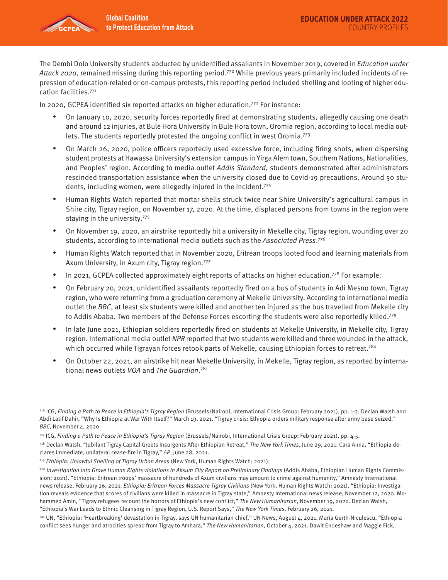

The Dembi Dolo University students abducted by unidentified assailants in November 2019, covered in Education under Attack 2020, remained missing during this reporting period.<sup>770</sup> While previous years primarily included incidents of repression of education-related or on-campus protests, this reporting period included shelling and looting of higher education facilities.771

In 2020, GCPEA identified six reported attacks on higher education.772 For instance:

- On January 10, 2020, security forces reportedly fired at demonstrating students, allegedly causing one death and around 12 injuries, at Bule Hora University in Bule Hora town, Oromia region, according to local media outlets. The students reportedly protested the ongoing conflict in west Oromia.<sup>773</sup>
- On March 26, 2020, police officers reportedly used excessive force, including firing shots, when dispersing student protests at Hawassa University's extension campus in Yirga Alem town, Southern Nations, Nationalities, and Peoples' region. According to media outlet Addis Standard, students demonstrated after administrators rescinded transportation assistance when the university closed due to Covid-19 precautions. Around 50 students, including women, were allegedly injured in the incident.774
- Human Rights Watch reported that mortar shells struck twice near Shire University's agricultural campus in Shire city, Tigray region, on November 17, 2020. At the time, displaced persons from towns in the region were staying in the university.775
- On November 19, 2020, an airstrike reportedly hit a university in Mekelle city, Tigray region, wounding over 20 students, according to international media outlets such as the Associated Press.<sup>776</sup>
- Human Rights Watch reported that in November 2020, Eritrean troops looted food and learning materials from Axum University, in Axum city, Tigray region.777
- In 2021, GCPEA collected approximately eight reports of attacks on higher education.<sup>778</sup> For example:
- On February 20, 2021, unidentified assailants reportedly fired on a bus of students in Adi Mesno town, Tigray region, who were returning from a graduation ceremony at Mekelle University. According to international media outlet the BBC, at least six students were killed and another ten injured as the bus travelled from Mekelle city to Addis Ababa. Two members of the Defense Forces escorting the students were also reportedly killed.779
- In late June 2021, Ethiopian soldiers reportedly fired on students at Mekelle University, in Mekelle city, Tigray region. International media outlet NPR reported that two students were killed and three wounded in the attack, which occurred while Tigrayan forces retook parts of Mekelle, causing Ethiopian forces to retreat.<sup>780</sup>
- On October 22, 2021, an airstrike hit near Mekelle University, in Mekelle, Tigray region, as reported by international news outlets VOA and The Guardian.<sup>781</sup>

<sup>716</sup> ICG, Finding a Path to Peace in Ethiopia's Tigray Region (Brussels/Nairobi, International Crisis Group: February 2021), pp. 1-2. Declan Walsh and Abdi Latif Dahir, "Why Is Ethiopia at War With Itself?" March 19, 2021. "Tigray crisis: Ethiopia orders military response after army base seized," BBC, November 4, 2020.

<sup>717</sup> ICG, Finding a Path to Peace in Ethiopia's Tigray Region (Brussels/Nairobi, International Crisis Group: February 2021), pp. 4-5.

<sup>718</sup> Declan Walsh, "Jubilant Tigray Capital Greets Insurgents After Ethiopian Retreat," The New York Times, June 29, 2021. Cara Anna, "Ethiopia declares immediate, unilateral cease-fire in Tigray," AP, June 28, 2021.

<sup>719</sup> Ethiopia: Unlawful Shelling of Tigray Urban Areas (New York, Human Rights Watch: 2021).

<sup>720</sup> Investigation into Grave Human Rights violations in Aksum City Report on Preliminary Findings (Addis Ababa, Ethiopian Human Rights Commission: 2021). "Ethiopia: Eritrean troops' massacre of hundreds of Axum civilians may amount to crime against humanity," Amnesty International news release, February 26, 2021. Ethiopia: Eritrean Forces Massacre Tigray Civilians (New York, Human Rights Watch: 2021). "Ethiopia: Investigation reveals evidence that scores of civilians were killed in massacre in Tigray state," Amnesty International news release, November 12, 2020. Mohammed Amin, "Tigray refugees recount the horrors of Ethiopia's new conflict," The New Humanitarian, November 19, 2020. Declan Walsh, "Ethiopia's War Leads to Ethnic Cleansing in Tigray Region, U.S. Report Says," The New York Times, February 26, 2021.

<sup>721</sup> UN, "Ethiopia: 'Heartbreaking' devastation in Tigray, says UN humanitarian chief," UN News, August 4, 2021. Maria Gerth-Niculescu, "Ethiopia conflict sees hunger and atrocities spread from Tigray to Amhara," The New Humanitarian, October 4, 2021. Dawit Endeshaw and Maggie Fick,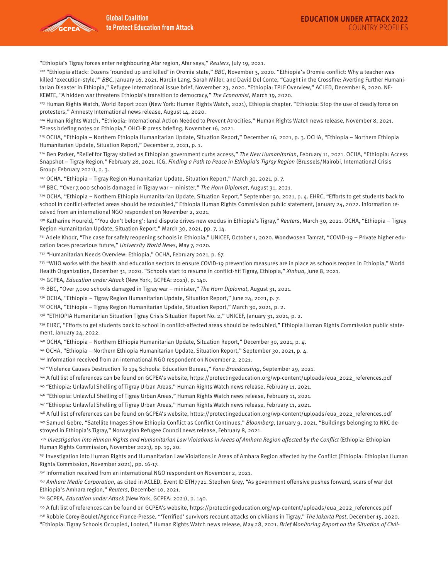

"Ethiopia's Tigray forces enter neighbouring Afar region, Afar says," Reuters, July 19, 2021.

722 "Ethiopia attack: Dozens 'rounded up and killed' in Oromia state," BBC, November 3, 2020. "Ethiopia's Oromia conflict: Why a teacher was killed 'execution-style," BBC, January 16, 2021. Hardin Lang, Sarah Miller, and David Del Conte, "Caught in the Crossfire: Averting Further Humanitarian Disaster in Ethiopia," Refugee International issue brief, November 23, 2020. "Ethiopia: TPLF Overview," ACLED, December 8, 2020. NE-KEMTE, "A hidden war threatens Ethiopia's transition to democracy," The Economist, March 19, 2020.

723 Human Rights Watch, World Report 2021 (New York: Human Rights Watch, 2021), Ethiopia chapter. "Ethiopia: Stop the use of deadly force on protesters," Amnesty International news release, August 14, 2020.

724 Human Rights Watch, "Ethiopia: International Action Needed to Prevent Atrocities," Human Rights Watch news release, November 8, 2021. "Press briefing notes on Ethiopia," OHCHR press briefing, November 16, 2021.

725 OCHA, "Ethiopia – Northern Ethiopia Humanitarian Update, Situation Report," December 16, 2021, p. 3. OCHA, "Ethiopia – Northern Ethiopia Humanitarian Update, Situation Report," December 2, 2021, p. 1.

726 Ben Parker, "Relief for Tigray stalled as Ethiopian government curbs access," The New Humanitarian, February 11, 2021. OCHA, "Ethiopia: Access Snapshot – Tigray Region," February 28, 2021. ICG, Finding a Path to Peace in Ethiopia's Tigray Region (Brussels/Nairobi, International Crisis Group: February 2021), p. 3.

727 OCHA, "Ethiopia – Tigray Region Humanitarian Update, Situation Report," March 30, 2021, p. 7.

 $728$  BBC, "Over 7,000 schools damaged in Tigray war – minister," The Horn Diplomat, August 31, 2021.

729 OCHA, "Ethiopia – Northern Ethiopia Humanitarian Update, Situation Report," September 30, 2021, p. 4. EHRC, "Efforts to get students back to school in conflict-affected areas should be redoubled," Ethiopia Human Rights Commission public statement, January 24, 2022. Information received from an international NGO respondent on November 2, 2021.

730 Katharine Houreld, "'You don't belong': land dispute drives new exodus in Ethiopia's Tigray," Reuters, March 30, 2021. OCHA, "Ethiopia - Tigray Region Humanitarian Update, Situation Report," March 30, 2021, pp. 7, 14.

731 Adele Khodr, "The case for safely reopening schools in Ethiopia," UNICEF, October 1, 2020. Wondwosen Tamrat, "COVID-19 – Private higher education faces precarious future," University World News, May 7, 2020.

732 "Humanitarian Needs Overview: Ethiopia," OCHA, February 2021, p. 67.

733 "WHO works with the health and education sectors to ensure COVID-19 prevention measures are in place as schools reopen in Ethiopia," World Health Organization, December 31, 2020. "Schools start to resume in conflict-hit Tigray, Ethiopia," Xinhua, June 8, 2021.

734 GCPEA, Education under Attack (New York, GCPEA: 2021), p. 140.

735 BBC, "Over 7,000 schools damaged in Tigray war – minister," The Horn Diplomat, August 31, 2021.

 $736$  OCHA, "Ethiopia – Tigray Region Humanitarian Update, Situation Report," June 24, 2021, p. 7.

737 OCHA, "Ethiopia – Tigray Region Humanitarian Update, Situation Report," March 30, 2021, p. 2.

738 "ETHIOPIA Humanitarian Situation Tigray Crisis Situation Report No. 2," UNICEF, January 31, 2021, p. 2.

739 EHRC, "Efforts to get students back to school in conflict-affected areas should be redoubled," Ethiopia Human Rights Commission public statement, January 24, 2022.

740 OCHA, "Ethiopia – Northern Ethiopia Humanitarian Update, Situation Report," December 30, 2021, p. 4.

741 OCHA, "Ethiopia – Northern Ethiopia Humanitarian Update, Situation Report," September 30, 2021, p. 4.

742 Information received from an international NGO respondent on November 2, 2021.

743 "Violence Causes Destruction To 194 Schools: Education Bureau," Fana Broadcasting, September 29, 2021.

744 A full list of references can be found on GCPEA's website, https://protectingeducation.org/wp-content/uploads/eua\_2022\_references.pdf

745 "Ethiopia: Unlawful Shelling of Tigray Urban Areas," Human Rights Watch news release, February 11, 2021.

746 "Ethiopia: Unlawful Shelling of Tigray Urban Areas," Human Rights Watch news release, February 11, 2021.

747 "Ethiopia: Unlawful Shelling of Tigray Urban Areas," Human Rights Watch news release, February 11, 2021.

748 A full list of references can be found on GCPEA's website, https://protectingeducation.org/wp-content/uploads/eua\_2022\_references.pdf

749 Samuel Gebre, "Satellite Images Show Ethiopia Conflict as Conflict Continues," Bloomberg, January 9, 2021. "Buildings belonging to NRC destroyed in Ethiopia's Tigray," Norwegian Refugee Council news release, February 8, 2021.

750 Investigation into Human Rights and Humanitarian Law Violations in Areas of Amhara Region affected by the Conflict (Ethiopia: Ethiopian Human Rights Commission, November 2021), pp. 19, 20.

751 Investigation into Human Rights and Humanitarian Law Violations in Areas of Amhara Region affected by the Conflict (Ethiopia: Ethiopian Human Rights Commission, November 2021), pp. 16-17.

752 Information received from an international NGO respondent on November 2, 2021.

753 Amhara Media Corporation, as cited in ACLED, Event ID ETH7721. Stephen Grey, "As government offensive pushes forward, scars of war dot Ethiopia's Amhara region," Reuters, December 10, 2021.

754 GCPEA, Education under Attack (New York, GCPEA: 2021), p. 140.

755 A full list of references can be found on GCPEA's website, https://protectingeducation.org/wp-content/uploads/eua\_2022\_references.pdf

756 Robbie Corey-Boulet/Agence France-Presse, "'Terrified' survivors recount attacks on civilians in Tigray," The Jakarta Post, December 15, 2020. "Ethiopia: Tigray Schools Occupied, Looted," Human Rights Watch news release, May 28, 2021. Brief Monitoring Report on the Situation of Civil-